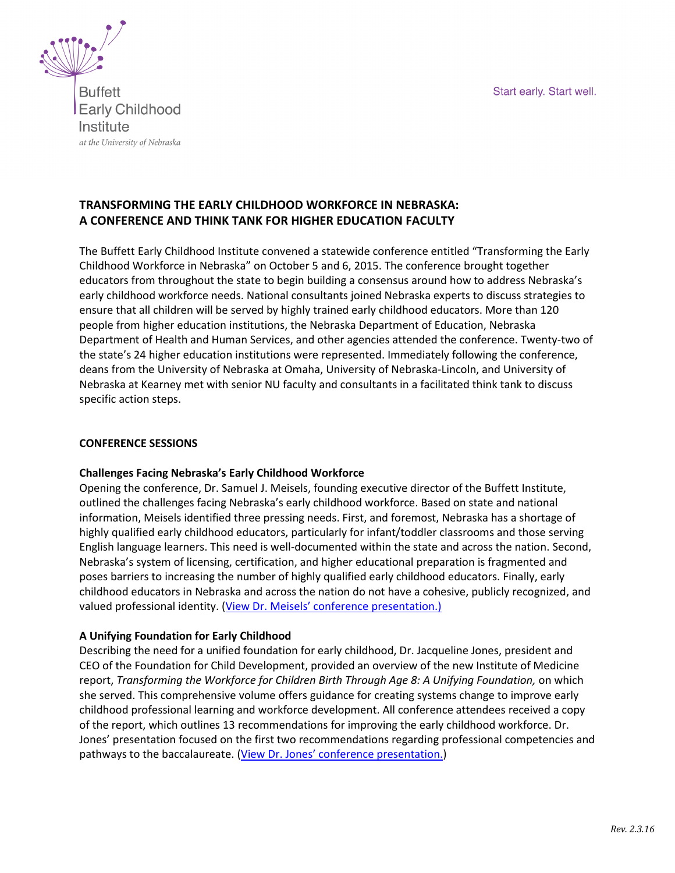Start early. Start well.



**Buffett Early Childhood** Institute at the University of Nebraska

# **TRANSFORMING THE EARLY CHILDHOOD WORKFORCE IN NEBRASKA: A CONFERENCE AND THINK TANK FOR HIGHER EDUCATION FACULTY**

The Buffett Early Childhood Institute convened a statewide conference entitled "Transforming the Early Childhood Workforce in Nebraska" on October 5 and 6, 2015. The conference brought together educators from throughout the state to begin building a consensus around how to address Nebraska's early childhood workforce needs. National consultants joined Nebraska experts to discuss strategies to ensure that all children will be served by highly trained early childhood educators. More than 120 people from higher education institutions, the Nebraska Department of Education, Nebraska Department of Health and Human Services, and other agencies attended the conference. Twenty-two of the state's 24 higher education institutions were represented. Immediately following the conference, deans from the University of Nebraska at Omaha, University of Nebraska-Lincoln, and University of Nebraska at Kearney met with senior NU faculty and consultants in a facilitated think tank to discuss specific action steps.

## **CONFERENCE SESSIONS**

## **Challenges Facing Nebraska's Early Childhood Workforce**

Opening the conference, Dr. Samuel J. Meisels, founding executive director of the Buffett Institute, outlined the challenges facing Nebraska's early childhood workforce. Based on state and national information, Meisels identified three pressing needs. First, and foremost, Nebraska has a shortage of highly qualified early childhood educators, particularly for infant/toddler classrooms and those serving English language learners. This need is well-documented within the state and across the nation. Second, Nebraska's system of licensing, certification, and higher educational preparation is fragmented and poses barriers to increasing the number of highly qualified early childhood educators. Finally, early childhood educators in Nebraska and across the nation do not have a cohesive, publicly recognized, and valued professional identity. ([View Dr. Meisels' conference presentation.\)](https://www.youtube.com/watch?v=EcuAK5VVvMI)

## **A Unifying Foundation for Early Childhood**

Describing the need for a unified foundation for early childhood, Dr. Jacqueline Jones, president and CEO of the Foundation for Child Development, provided an overview of the new Institute of Medicine report, *Transforming the Workforce for Children Birth Through Age 8: A Unifying Foundation,* on which she served. This comprehensive volume offers guidance for creating systems change to improve early childhood professional learning and workforce development. All conference attendees received a copy of the report, which outlines 13 recommendations for improving the early childhood workforce. Dr. Jones' presentation focused on the first two recommendations regarding professional competencies and pathways to the baccalaureate. ([View Dr. Jones' conference presentation.](https://www.youtube.com/watch?v=S0mDmsa1H34))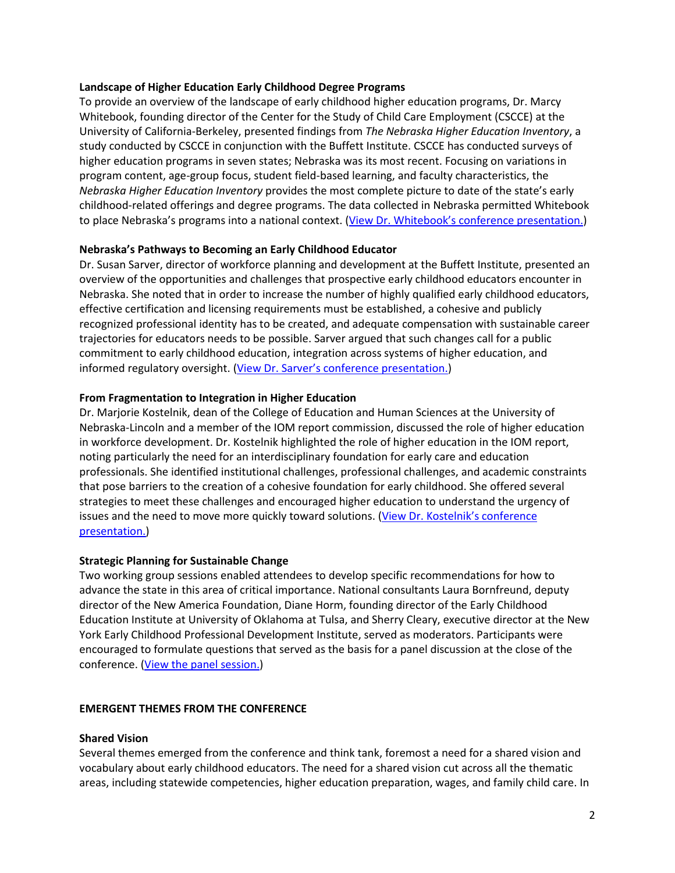### **Landscape of Higher Education Early Childhood Degree Programs**

To provide an overview of the landscape of early childhood higher education programs, Dr. Marcy Whitebook, founding director of the Center for the Study of Child Care Employment (CSCCE) at the University of California-Berkeley, presented findings from *The Nebraska Higher Education Inventory*, a study conducted by CSCCE in conjunction with the Buffett Institute. CSCCE has conducted surveys of higher education programs in seven states; Nebraska was its most recent. Focusing on variations in program content, age-group focus, student field-based learning, and faculty characteristics, the *Nebraska Higher Education Inventory* provides the most complete picture to date of the state's early childhood-related offerings and degree programs. The data collected in Nebraska permitted Whitebook to place Nebraska's programs into a national context. ([View Dr. Whitebook's conference presentation](https://www.youtube.com/watch?v=BgcWnUzxCyM).)

#### **Nebraska's Pathways to Becoming an Early Childhood Educator**

Dr. Susan Sarver, director of workforce planning and development at the Buffett Institute, presented an overview of the opportunities and challenges that prospective early childhood educators encounter in Nebraska. She noted that in order to increase the number of highly qualified early childhood educators, effective certification and licensing requirements must be established, a cohesive and publicly recognized professional identity has to be created, and adequate compensation with sustainable career trajectories for educators needs to be possible. Sarver argued that such changes call for a public commitment to early childhood education, integration across systems of higher education, and informed regulatory oversight. ([View Dr. Sarver's conference presentation.](https://www.youtube.com/watch?v=cq5MIMpvFL4))

#### **From Fragmentation to Integration in Higher Education**

Dr. Marjorie Kostelnik, dean of the College of Education and Human Sciences at the University of Nebraska-Lincoln and a member of the IOM report commission, discussed the role of higher education in workforce development. Dr. Kostelnik highlighted the role of higher education in the IOM report, noting particularly the need for an interdisciplinary foundation for early care and education professionals. She identified institutional challenges, professional challenges, and academic constraints that pose barriers to the creation of a cohesive foundation for early childhood. She offered several strategies to meet these challenges and encouraged higher education to understand the urgency of issues and the need to move more quickly toward solutions. ([View Dr. Kostelnik's conference](https://www.youtube.com/watch?v=a4g3ZFki52I)  [presentation.\)](https://www.youtube.com/watch?v=a4g3ZFki52I)

## **Strategic Planning for Sustainable Change**

Two working group sessions enabled attendees to develop specific recommendations for how to advance the state in this area of critical importance. National consultants Laura Bornfreund, deputy director of the New America Foundation, Diane Horm, founding director of the Early Childhood Education Institute at University of Oklahoma at Tulsa, and Sherry Cleary, executive director at the New York Early Childhood Professional Development Institute, served as moderators. Participants were encouraged to formulate questions that served as the basis for a panel discussion at the close of the conference. [\(View the panel session.\)](https://www.youtube.com/watch?v=oMHhT_GLONk)

#### **EMERGENT THEMES FROM THE CONFERENCE**

#### **Shared Vision**

Several themes emerged from the conference and think tank, foremost a need for a shared vision and vocabulary about early childhood educators. The need for a shared vision cut across all the thematic areas, including statewide competencies, higher education preparation, wages, and family child care. In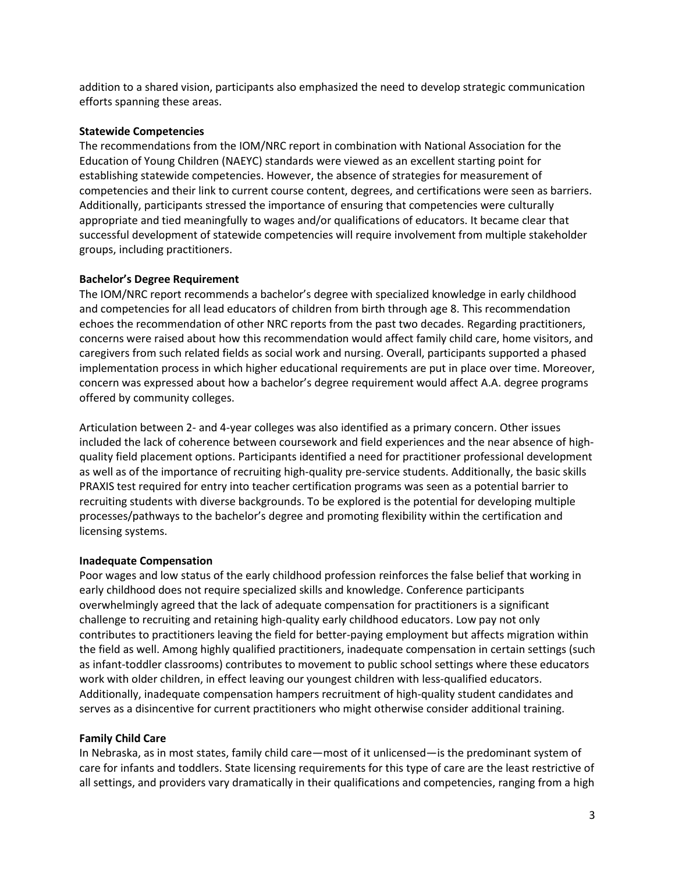addition to a shared vision, participants also emphasized the need to develop strategic communication efforts spanning these areas.

#### **Statewide Competencies**

The recommendations from the IOM/NRC report in combination with National Association for the Education of Young Children (NAEYC) standards were viewed as an excellent starting point for establishing statewide competencies. However, the absence of strategies for measurement of competencies and their link to current course content, degrees, and certifications were seen as barriers. Additionally, participants stressed the importance of ensuring that competencies were culturally appropriate and tied meaningfully to wages and/or qualifications of educators. It became clear that successful development of statewide competencies will require involvement from multiple stakeholder groups, including practitioners.

## **Bachelor's Degree Requirement**

The IOM/NRC report recommends a bachelor's degree with specialized knowledge in early childhood and competencies for all lead educators of children from birth through age 8. This recommendation echoes the recommendation of other NRC reports from the past two decades. Regarding practitioners, concerns were raised about how this recommendation would affect family child care, home visitors, and caregivers from such related fields as social work and nursing. Overall, participants supported a phased implementation process in which higher educational requirements are put in place over time. Moreover, concern was expressed about how a bachelor's degree requirement would affect A.A. degree programs offered by community colleges.

Articulation between 2- and 4-year colleges was also identified as a primary concern. Other issues included the lack of coherence between coursework and field experiences and the near absence of highquality field placement options. Participants identified a need for practitioner professional development as well as of the importance of recruiting high-quality pre-service students. Additionally, the basic skills PRAXIS test required for entry into teacher certification programs was seen as a potential barrier to recruiting students with diverse backgrounds. To be explored is the potential for developing multiple processes/pathways to the bachelor's degree and promoting flexibility within the certification and licensing systems.

## **Inadequate Compensation**

Poor wages and low status of the early childhood profession reinforces the false belief that working in early childhood does not require specialized skills and knowledge. Conference participants overwhelmingly agreed that the lack of adequate compensation for practitioners is a significant challenge to recruiting and retaining high-quality early childhood educators. Low pay not only contributes to practitioners leaving the field for better-paying employment but affects migration within the field as well. Among highly qualified practitioners, inadequate compensation in certain settings (such as infant-toddler classrooms) contributes to movement to public school settings where these educators work with older children, in effect leaving our youngest children with less-qualified educators. Additionally, inadequate compensation hampers recruitment of high-quality student candidates and serves as a disincentive for current practitioners who might otherwise consider additional training.

## **Family Child Care**

In Nebraska, as in most states, family child care—most of it unlicensed—is the predominant system of care for infants and toddlers. State licensing requirements for this type of care are the least restrictive of all settings, and providers vary dramatically in their qualifications and competencies, ranging from a high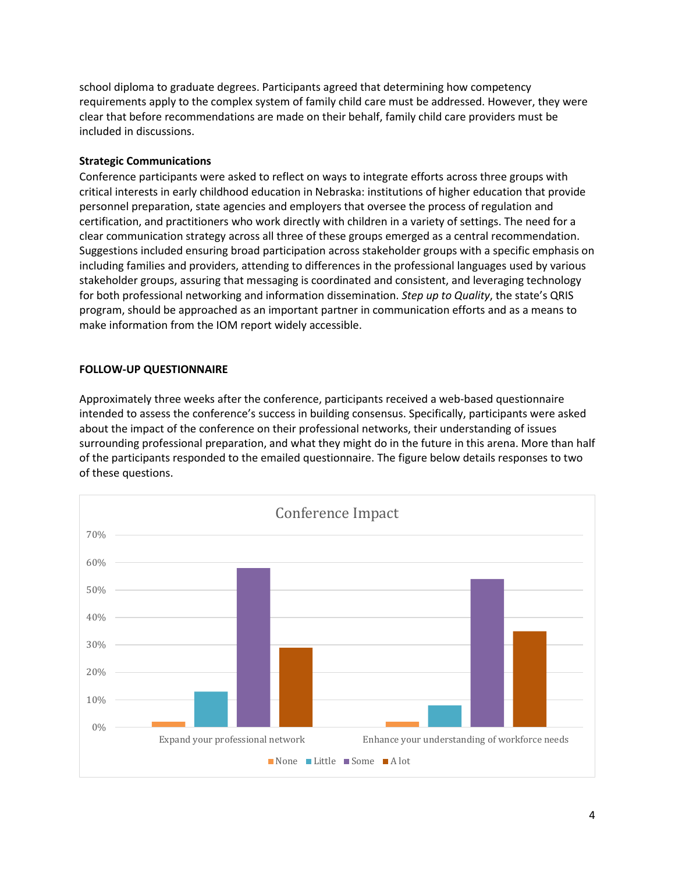school diploma to graduate degrees. Participants agreed that determining how competency requirements apply to the complex system of family child care must be addressed. However, they were clear that before recommendations are made on their behalf, family child care providers must be included in discussions.

## **Strategic Communications**

Conference participants were asked to reflect on ways to integrate efforts across three groups with critical interests in early childhood education in Nebraska: institutions of higher education that provide personnel preparation, state agencies and employers that oversee the process of regulation and certification, and practitioners who work directly with children in a variety of settings. The need for a clear communication strategy across all three of these groups emerged as a central recommendation. Suggestions included ensuring broad participation across stakeholder groups with a specific emphasis on including families and providers, attending to differences in the professional languages used by various stakeholder groups, assuring that messaging is coordinated and consistent, and leveraging technology for both professional networking and information dissemination. *Step up to Quality*, the state's QRIS program, should be approached as an important partner in communication efforts and as a means to make information from the IOM report widely accessible.

## **FOLLOW-UP QUESTIONNAIRE**

Approximately three weeks after the conference, participants received a web-based questionnaire intended to assess the conference's success in building consensus. Specifically, participants were asked about the impact of the conference on their professional networks, their understanding of issues surrounding professional preparation, and what they might do in the future in this arena. More than half of the participants responded to the emailed questionnaire. The figure below details responses to two of these questions.

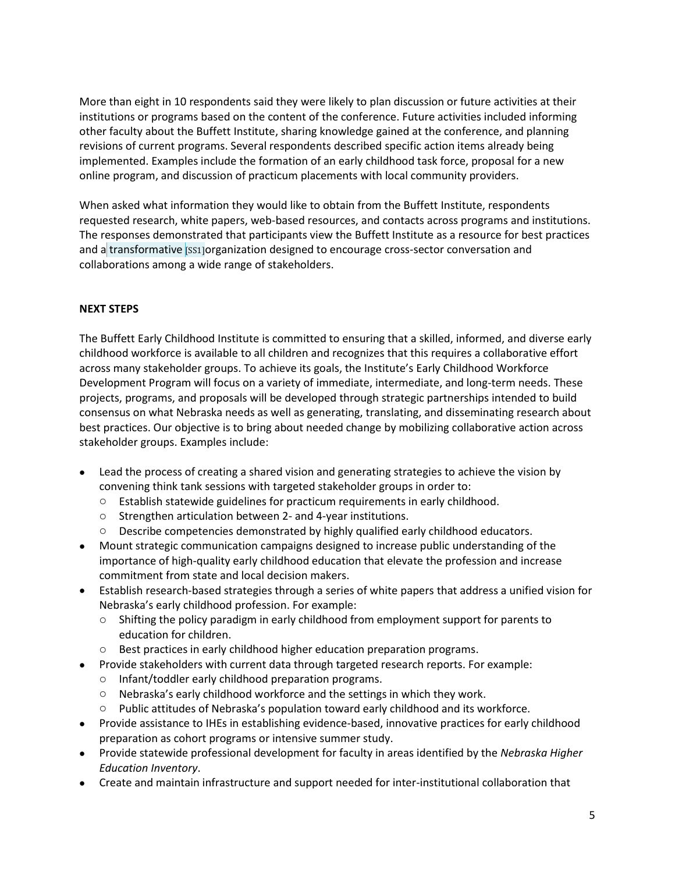More than eight in 10 respondents said they were likely to plan discussion or future activities at their institutions or programs based on the content of the conference. Future activities included informing other faculty about the Buffett Institute, sharing knowledge gained at the conference, and planning revisions of current programs. Several respondents described specific action items already being implemented. Examples include the formation of an early childhood task force, proposal for a new online program, and discussion of practicum placements with local community providers.

When asked what information they would like to obtain from the Buffett Institute, respondents requested research, white papers, web-based resources, and contacts across programs and institutions. The responses demonstrated that participants view the Buffett Institute as a resource for best practices and a transformative [SS1]organization designed to encourage cross-sector conversation and collaborations among a wide range of stakeholders.

## **NEXT STEPS**

The Buffett Early Childhood Institute is committed to ensuring that a skilled, informed, and diverse early childhood workforce is available to all children and recognizes that this requires a collaborative effort across many stakeholder groups. To achieve its goals, the Institute's Early Childhood Workforce Development Program will focus on a variety of immediate, intermediate, and long-term needs. These projects, programs, and proposals will be developed through strategic partnerships intended to build consensus on what Nebraska needs as well as generating, translating, and disseminating research about best practices. Our objective is to bring about needed change by mobilizing collaborative action across stakeholder groups. Examples include:

- Lead the process of creating a shared vision and generating strategies to achieve the vision by convening think tank sessions with targeted stakeholder groups in order to:
	- $\circ$  Establish statewide guidelines for practicum requirements in early childhood.
	- o Strengthen articulation between 2- and 4-year institutions.
	- o Describe competencies demonstrated by highly qualified early childhood educators.
- Mount strategic communication campaigns designed to increase public understanding of the importance of high-quality early childhood education that elevate the profession and increase commitment from state and local decision makers.
- Establish research-based strategies through a series of white papers that address a unified vision for Nebraska's early childhood profession. For example:
	- $\circ$  Shifting the policy paradigm in early childhood from employment support for parents to education for children.
	- o Best practices in early childhood higher education preparation programs.
- Provide stakeholders with current data through targeted research reports. For example:
	- o Infant/toddler early childhood preparation programs.
	- $\circ$  Nebraska's early childhood workforce and the settings in which they work.
	- o Public attitudes of Nebraska's population toward early childhood and its workforce.
- Provide assistance to IHEs in establishing evidence-based, innovative practices for early childhood preparation as cohort programs or intensive summer study.
- Provide statewide professional development for faculty in areas identified by the *Nebraska Higher Education Inventory*.
- Create and maintain infrastructure and support needed for inter-institutional collaboration that